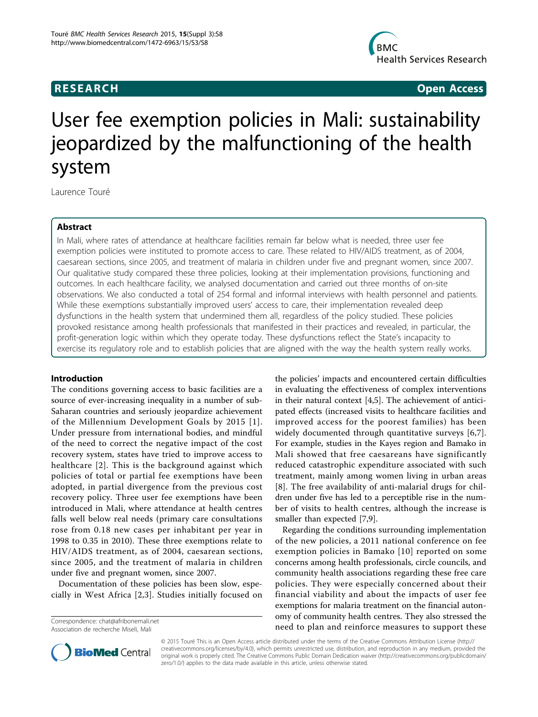

**RESEARCH CONSTRUCTION CONSTRUCTS** 

# User fee exemption policies in Mali: sustainability jeopardized by the malfunctioning of the health system

Laurence Touré

# Abstract

In Mali, where rates of attendance at healthcare facilities remain far below what is needed, three user fee exemption policies were instituted to promote access to care. These related to HIV/AIDS treatment, as of 2004, caesarean sections, since 2005, and treatment of malaria in children under five and pregnant women, since 2007. Our qualitative study compared these three policies, looking at their implementation provisions, functioning and outcomes. In each healthcare facility, we analysed documentation and carried out three months of on-site observations. We also conducted a total of 254 formal and informal interviews with health personnel and patients. While these exemptions substantially improved users' access to care, their implementation revealed deep dysfunctions in the health system that undermined them all, regardless of the policy studied. These policies provoked resistance among health professionals that manifested in their practices and revealed, in particular, the profit-generation logic within which they operate today. These dysfunctions reflect the State's incapacity to exercise its regulatory role and to establish policies that are aligned with the way the health system really works.

# Introduction

The conditions governing access to basic facilities are a source of ever-increasing inequality in a number of sub-Saharan countries and seriously jeopardize achievement of the Millennium Development Goals by 2015 [[1\]](#page-10-0). Under pressure from international bodies, and mindful of the need to correct the negative impact of the cost recovery system, states have tried to improve access to healthcare [[2](#page-10-0)]. This is the background against which policies of total or partial fee exemptions have been adopted, in partial divergence from the previous cost recovery policy. Three user fee exemptions have been introduced in Mali, where attendance at health centres falls well below real needs (primary care consultations rose from 0.18 new cases per inhabitant per year in 1998 to 0.35 in 2010). These three exemptions relate to HIV/AIDS treatment, as of 2004, caesarean sections, since 2005, and the treatment of malaria in children under five and pregnant women, since 2007.

Documentation of these policies has been slow, especially in West Africa [\[2,3\]](#page-10-0). Studies initially focused on

Association de recherche Miseli, Mali

the policies' impacts and encountered certain difficulties in evaluating the effectiveness of complex interventions in their natural context [\[4,5](#page-10-0)]. The achievement of anticipated effects (increased visits to healthcare facilities and improved access for the poorest families) has been widely documented through quantitative surveys [[6,7](#page-10-0)]. For example, studies in the Kayes region and Bamako in Mali showed that free caesareans have significantly reduced catastrophic expenditure associated with such treatment, mainly among women living in urban areas [[8](#page-10-0)]. The free availability of anti-malarial drugs for children under five has led to a perceptible rise in the number of visits to health centres, although the increase is smaller than expected [\[7,9\]](#page-10-0).

Regarding the conditions surrounding implementation of the new policies, a 2011 national conference on fee exemption policies in Bamako [[10](#page-10-0)] reported on some concerns among health professionals, circle councils, and community health associations regarding these free care policies. They were especially concerned about their financial viability and about the impacts of user fee exemptions for malaria treatment on the financial autonomy of community health centres. They also stressed the Correspondence: [chat@afribonemali.net](mailto:chat@afribonemali.net)<br>Association de recherche Miseli Mali



© 2015 Touré This is an Open Access article distributed under the terms of the Creative Commons Attribution License [\(http://](http://creativecommons.org/licenses/by/4.0) [creativecommons.org/licenses/by/4.0](http://creativecommons.org/licenses/by/4.0)), which permits unrestricted use, distribution, and reproduction in any medium, provided the original work is properly cited. The Creative Commons Public Domain Dedication waiver ([http://creativecommons.org/publicdomain/](http://creativecommons.org/publicdomain/zero/1.0/) [zero/1.0/](http://creativecommons.org/publicdomain/zero/1.0/)) applies to the data made available in this article, unless otherwise stated.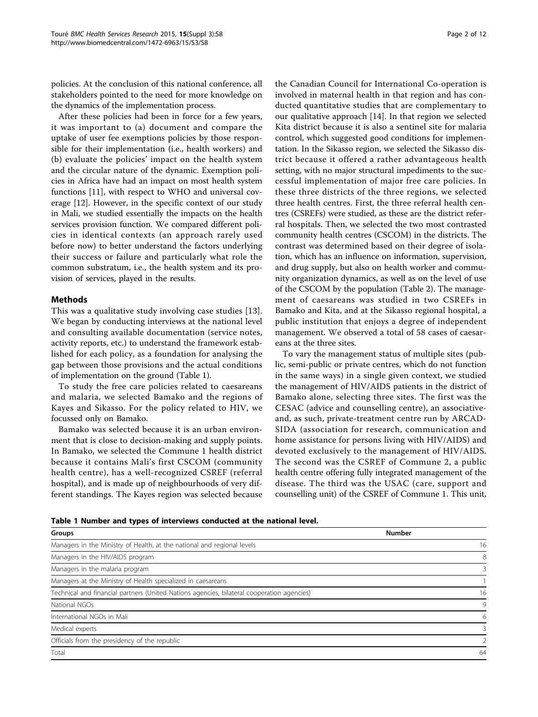policies. At the conclusion of this national conference, all stakeholders pointed to the need for more knowledge on the dynamics of the implementation process.

After these policies had been in force for a few years, it was important to (a) document and compare the uptake of user fee exemptions policies by those responsible for their implementation (i.e., health workers) and (b) evaluate the policies' impact on the health system and the circular nature of the dynamic. Exemption policies in Africa have had an impact on most health system functions [[11](#page-10-0)], with respect to WHO and universal coverage [[12\]](#page-10-0). However, in the specific context of our study in Mali, we studied essentially the impacts on the health services provision function. We compared different policies in identical contexts (an approach rarely used before now) to better understand the factors underlying their success or failure and particularly what role the common substratum, i.e., the health system and its provision of services, played in the results.

### Methods

This was a qualitative study involving case studies [[13](#page-10-0)]. We began by conducting interviews at the national level and consulting available documentation (service notes, activity reports, etc.) to understand the framework established for each policy, as a foundation for analysing the gap between those provisions and the actual conditions of implementation on the ground (Table 1).

To study the free care policies related to caesareans and malaria, we selected Bamako and the regions of Kayes and Sikasso. For the policy related to HIV, we focussed only on Bamako.

Bamako was selected because it is an urban environment that is close to decision-making and supply points. In Bamako, we selected the Commune 1 health district because it contains Mali's first CSCOM (community health centre), has a well-recognized CSREF (referral hospital), and is made up of neighbourhoods of very different standings. The Kayes region was selected because

the Canadian Council for International Co-operation is involved in maternal health in that region and has conducted quantitative studies that are complementary to our qualitative approach [[14\]](#page-10-0). In that region we selected Kita district because it is also a sentinel site for malaria control, which suggested good conditions for implementation. In the Sikasso region, we selected the Sikasso district because it offered a rather advantageous health setting, with no major structural impediments to the successful implementation of major free care policies. In these three districts of the three regions, we selected three health centres. First, the three referral health centres (CSREFs) were studied, as these are the district referral hospitals. Then, we selected the two most contrasted community health centres (CSCOM) in the districts. The contrast was determined based on their degree of isolation, which has an influence on information, supervision, and drug supply, but also on health worker and commu-

nity organization dynamics, as well as on the level of use of the CSCOM by the population (Table [2\)](#page-2-0). The management of caesareans was studied in two CSREFs in Bamako and Kita, and at the Sikasso regional hospital, a public institution that enjoys a degree of independent management. We observed a total of 58 cases of caesareans at the three sites.

To vary the management status of multiple sites (public, semi-public or private centres, which do not function in the same ways) in a single given context, we studied the management of HIV/AIDS patients in the district of Bamako alone, selecting three sites. The first was the CESAC (advice and counselling centre), an associativeand, as such, private-treatment centre run by ARCAD-SIDA (association for research, communication and home assistance for persons living with HIV/AIDS) and devoted exclusively to the management of HIV/AIDS. The second was the CSREF of Commune 2, a public health centre offering fully integrated management of the disease. The third was the USAC (care, support and counselling unit) of the CSREF of Commune 1. This unit,

Table 1 Number and types of interviews conducted at the national level.

| Groups                                                                                     | <b>Number</b> |  |
|--------------------------------------------------------------------------------------------|---------------|--|
| Managers in the Ministry of Health, at the national and regional levels                    | 16            |  |
| Managers in the HIV/AIDS program                                                           | 8             |  |
| Managers in the malaria program                                                            |               |  |
| Managers at the Ministry of Health specialized in caesareans                               |               |  |
| Technical and financial partners (United Nations agencies, bilateral cooperation agencies) | 16            |  |
| National NGOs                                                                              | 9             |  |
| International NGOs in Mali                                                                 | 6             |  |
| Medical experts                                                                            |               |  |
| Officials from the presidency of the republic                                              | 2             |  |
| Total                                                                                      | 64            |  |
|                                                                                            |               |  |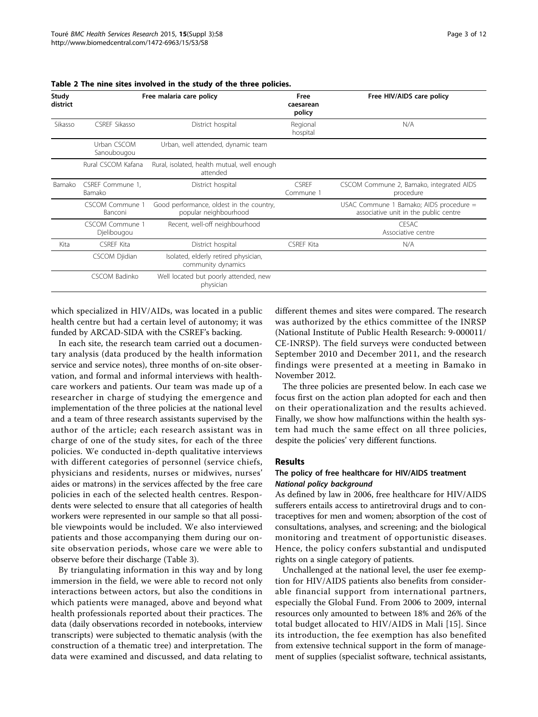| Study<br>district |                                       | Free malaria care policy                                          | Free<br>caesarean<br>policy | Free HIV/AIDS care policy                                                        |
|-------------------|---------------------------------------|-------------------------------------------------------------------|-----------------------------|----------------------------------------------------------------------------------|
| Sikasso           | <b>CSREF Sikasso</b>                  | District hospital                                                 | Regional<br>hospital        | N/A                                                                              |
|                   | Urban CSCOM<br>Sanoubougou            | Urban, well attended, dynamic team                                |                             |                                                                                  |
|                   | Rural CSCOM Kafana                    | Rural, isolated, health mutual, well enough<br>attended           |                             |                                                                                  |
| Bamako            | CSREF Commune 1,<br>Bamako            | District hospital                                                 | <b>CSREF</b><br>Commune 1   | CSCOM Commune 2, Bamako, integrated AIDS<br>procedure                            |
|                   | CSCOM Commune 1<br>Banconi            | Good performance, oldest in the country,<br>popular neighbourhood |                             | USAC Commune 1 Bamako; AIDS procedure =<br>associative unit in the public centre |
|                   | <b>CSCOM Commune 1</b><br>Djelibougou | Recent, well-off neighbourhood                                    |                             | <b>CESAC</b><br>Associative centre                                               |
| Kita              | CSREF Kita                            | District hospital                                                 | <b>CSREF Kita</b>           | N/A                                                                              |
|                   | CSCOM Djidian                         | Isolated, elderly retired physician,<br>community dynamics        |                             |                                                                                  |
|                   | <b>CSCOM Badinko</b>                  | Well located but poorly attended, new<br>physician                |                             |                                                                                  |

<span id="page-2-0"></span>Table 2 The nine sites involved in the study of the three policies.

which specialized in HIV/AIDs, was located in a public health centre but had a certain level of autonomy; it was funded by ARCAD-SIDA with the CSREF's backing.

In each site, the research team carried out a documentary analysis (data produced by the health information service and service notes), three months of on-site observation, and formal and informal interviews with healthcare workers and patients. Our team was made up of a researcher in charge of studying the emergence and implementation of the three policies at the national level and a team of three research assistants supervised by the author of the article; each research assistant was in charge of one of the study sites, for each of the three policies. We conducted in-depth qualitative interviews with different categories of personnel (service chiefs, physicians and residents, nurses or midwives, nurses' aides or matrons) in the services affected by the free care policies in each of the selected health centres. Respondents were selected to ensure that all categories of health workers were represented in our sample so that all possible viewpoints would be included. We also interviewed patients and those accompanying them during our onsite observation periods, whose care we were able to observe before their discharge (Table [3\)](#page-3-0).

By triangulating information in this way and by long immersion in the field, we were able to record not only interactions between actors, but also the conditions in which patients were managed, above and beyond what health professionals reported about their practices. The data (daily observations recorded in notebooks, interview transcripts) were subjected to thematic analysis (with the construction of a thematic tree) and interpretation. The data were examined and discussed, and data relating to

different themes and sites were compared. The research was authorized by the ethics committee of the INRSP (National Institute of Public Health Research: 9-000011/ CE-INRSP). The field surveys were conducted between September 2010 and December 2011, and the research findings were presented at a meeting in Bamako in November 2012.

The three policies are presented below. In each case we focus first on the action plan adopted for each and then on their operationalization and the results achieved. Finally, we show how malfunctions within the health system had much the same effect on all three policies, despite the policies' very different functions.

#### Results

# The policy of free healthcare for HIV/AIDS treatment National policy background

As defined by law in 2006, free healthcare for HIV/AIDS sufferers entails access to antiretroviral drugs and to contraceptives for men and women; absorption of the cost of consultations, analyses, and screening; and the biological monitoring and treatment of opportunistic diseases. Hence, the policy confers substantial and undisputed rights on a single category of patients.

Unchallenged at the national level, the user fee exemption for HIV/AIDS patients also benefits from considerable financial support from international partners, especially the Global Fund. From 2006 to 2009, internal resources only amounted to between 18% and 26% of the total budget allocated to HIV/AIDS in Mali [[15](#page-10-0)]. Since its introduction, the fee exemption has also benefited from extensive technical support in the form of management of supplies (specialist software, technical assistants,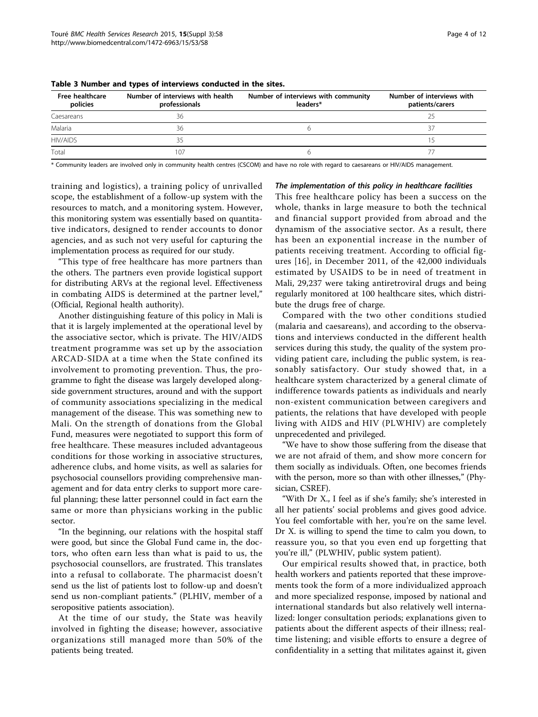| <b>Free healthcare</b><br>policies | Number of interviews with health<br>professionals | Number of interviews with community<br>leaders* | Number of interviews with<br>patients/carers |
|------------------------------------|---------------------------------------------------|-------------------------------------------------|----------------------------------------------|
| Caesareans                         | 36                                                |                                                 |                                              |
| Malaria                            | 36                                                |                                                 |                                              |
| <b>HIV/AIDS</b>                    | 35                                                |                                                 |                                              |
| Total                              | 107                                               |                                                 |                                              |

<span id="page-3-0"></span>Table 3 Number and types of interviews conducted in the sites.

\* Community leaders are involved only in community health centres (CSCOM) and have no role with regard to caesareans or HIV/AIDS management.

training and logistics), a training policy of unrivalled scope, the establishment of a follow-up system with the resources to match, and a monitoring system. However, this monitoring system was essentially based on quantitative indicators, designed to render accounts to donor agencies, and as such not very useful for capturing the implementation process as required for our study.

"This type of free healthcare has more partners than the others. The partners even provide logistical support for distributing ARVs at the regional level. Effectiveness in combating AIDS is determined at the partner level," (Official, Regional health authority).

Another distinguishing feature of this policy in Mali is that it is largely implemented at the operational level by the associative sector, which is private. The HIV/AIDS treatment programme was set up by the association ARCAD-SIDA at a time when the State confined its involvement to promoting prevention. Thus, the programme to fight the disease was largely developed alongside government structures, around and with the support of community associations specializing in the medical management of the disease. This was something new to Mali. On the strength of donations from the Global Fund, measures were negotiated to support this form of free healthcare. These measures included advantageous conditions for those working in associative structures, adherence clubs, and home visits, as well as salaries for psychosocial counsellors providing comprehensive management and for data entry clerks to support more careful planning; these latter personnel could in fact earn the same or more than physicians working in the public sector.

"In the beginning, our relations with the hospital staff were good, but since the Global Fund came in, the doctors, who often earn less than what is paid to us, the psychosocial counsellors, are frustrated. This translates into a refusal to collaborate. The pharmacist doesn't send us the list of patients lost to follow-up and doesn't send us non-compliant patients." (PLHIV, member of a seropositive patients association).

At the time of our study, the State was heavily involved in fighting the disease; however, associative organizations still managed more than 50% of the patients being treated.

#### The implementation of this policy in healthcare facilities

This free healthcare policy has been a success on the whole, thanks in large measure to both the technical and financial support provided from abroad and the dynamism of the associative sector. As a result, there has been an exponential increase in the number of patients receiving treatment. According to official figures [\[16\]](#page-10-0), in December 2011, of the 42,000 individuals estimated by USAIDS to be in need of treatment in Mali, 29,237 were taking antiretroviral drugs and being regularly monitored at 100 healthcare sites, which distribute the drugs free of charge.

Compared with the two other conditions studied (malaria and caesareans), and according to the observations and interviews conducted in the different health services during this study, the quality of the system providing patient care, including the public system, is reasonably satisfactory. Our study showed that, in a healthcare system characterized by a general climate of indifference towards patients as individuals and nearly non-existent communication between caregivers and patients, the relations that have developed with people living with AIDS and HIV (PLWHIV) are completely unprecedented and privileged.

"We have to show those suffering from the disease that we are not afraid of them, and show more concern for them socially as individuals. Often, one becomes friends with the person, more so than with other illnesses," (Physician, CSREF).

"With Dr X., I feel as if she's family; she's interested in all her patients' social problems and gives good advice. You feel comfortable with her, you're on the same level. Dr X. is willing to spend the time to calm you down, to reassure you, so that you even end up forgetting that you're ill," (PLWHIV, public system patient).

Our empirical results showed that, in practice, both health workers and patients reported that these improvements took the form of a more individualized approach and more specialized response, imposed by national and international standards but also relatively well internalized: longer consultation periods; explanations given to patients about the different aspects of their illness; realtime listening; and visible efforts to ensure a degree of confidentiality in a setting that militates against it, given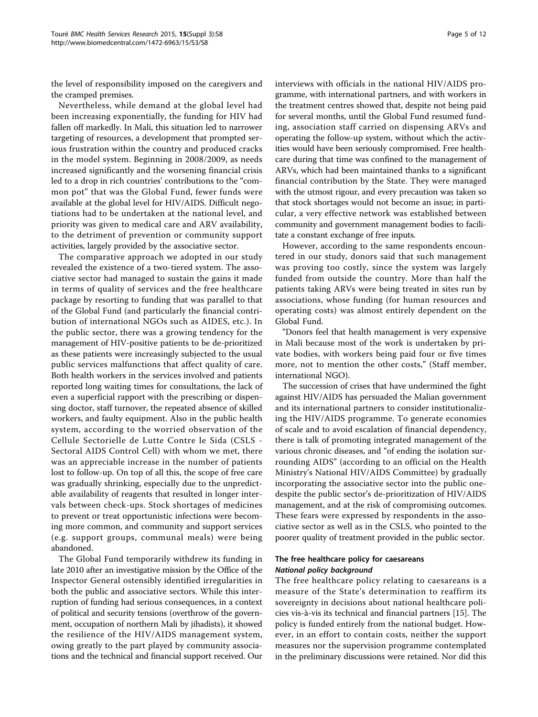the level of responsibility imposed on the caregivers and the cramped premises.

Nevertheless, while demand at the global level had been increasing exponentially, the funding for HIV had fallen off markedly. In Mali, this situation led to narrower targeting of resources, a development that prompted serious frustration within the country and produced cracks in the model system. Beginning in 2008/2009, as needs increased significantly and the worsening financial crisis led to a drop in rich countries' contributions to the "common pot" that was the Global Fund, fewer funds were available at the global level for HIV/AIDS. Difficult negotiations had to be undertaken at the national level, and priority was given to medical care and ARV availability, to the detriment of prevention or community support activities, largely provided by the associative sector.

The comparative approach we adopted in our study revealed the existence of a two-tiered system. The associative sector had managed to sustain the gains it made in terms of quality of services and the free healthcare package by resorting to funding that was parallel to that of the Global Fund (and particularly the financial contribution of international NGOs such as AIDES, etc.). In the public sector, there was a growing tendency for the management of HIV-positive patients to be de-prioritized as these patients were increasingly subjected to the usual public services malfunctions that affect quality of care. Both health workers in the services involved and patients reported long waiting times for consultations, the lack of even a superficial rapport with the prescribing or dispensing doctor, staff turnover, the repeated absence of skilled workers, and faulty equipment. Also in the public health system, according to the worried observation of the Cellule Sectorielle de Lutte Contre le Sida (CSLS - Sectoral AIDS Control Cell) with whom we met, there was an appreciable increase in the number of patients lost to follow-up. On top of all this, the scope of free care was gradually shrinking, especially due to the unpredictable availability of reagents that resulted in longer intervals between check-ups. Stock shortages of medicines to prevent or treat opportunistic infections were becoming more common, and community and support services (e.g. support groups, communal meals) were being abandoned.

The Global Fund temporarily withdrew its funding in late 2010 after an investigative mission by the Office of the Inspector General ostensibly identified irregularities in both the public and associative sectors. While this interruption of funding had serious consequences, in a context of political and security tensions (overthrow of the government, occupation of northern Mali by jihadists), it showed the resilience of the HIV/AIDS management system, owing greatly to the part played by community associations and the technical and financial support received. Our interviews with officials in the national HIV/AIDS programme, with international partners, and with workers in the treatment centres showed that, despite not being paid for several months, until the Global Fund resumed funding, association staff carried on dispensing ARVs and operating the follow-up system, without which the activities would have been seriously compromised. Free healthcare during that time was confined to the management of ARVs, which had been maintained thanks to a significant financial contribution by the State. They were managed with the utmost rigour, and every precaution was taken so that stock shortages would not become an issue; in particular, a very effective network was established between community and government management bodies to facilitate a constant exchange of free inputs.

However, according to the same respondents encountered in our study, donors said that such management was proving too costly, since the system was largely funded from outside the country. More than half the patients taking ARVs were being treated in sites run by associations, whose funding (for human resources and operating costs) was almost entirely dependent on the Global Fund.

"Donors feel that health management is very expensive in Mali because most of the work is undertaken by private bodies, with workers being paid four or five times more, not to mention the other costs," (Staff member, international NGO).

The succession of crises that have undermined the fight against HIV/AIDS has persuaded the Malian government and its international partners to consider institutionalizing the HIV/AIDS programme. To generate economies of scale and to avoid escalation of financial dependency, there is talk of promoting integrated management of the various chronic diseases, and "of ending the isolation surrounding AIDS" (according to an official on the Health Ministry's National HIV/AIDS Committee) by gradually incorporating the associative sector into the public onedespite the public sector's de-prioritization of HIV/AIDS management, and at the risk of compromising outcomes. These fears were expressed by respondents in the associative sector as well as in the CSLS, who pointed to the poorer quality of treatment provided in the public sector.

### The free healthcare policy for caesareans National policy background

The free healthcare policy relating to caesareans is a measure of the State's determination to reaffirm its sovereignty in decisions about national healthcare policies vis-à-vis its technical and financial partners [[15](#page-10-0)]. The policy is funded entirely from the national budget. However, in an effort to contain costs, neither the support measures nor the supervision programme contemplated in the preliminary discussions were retained. Nor did this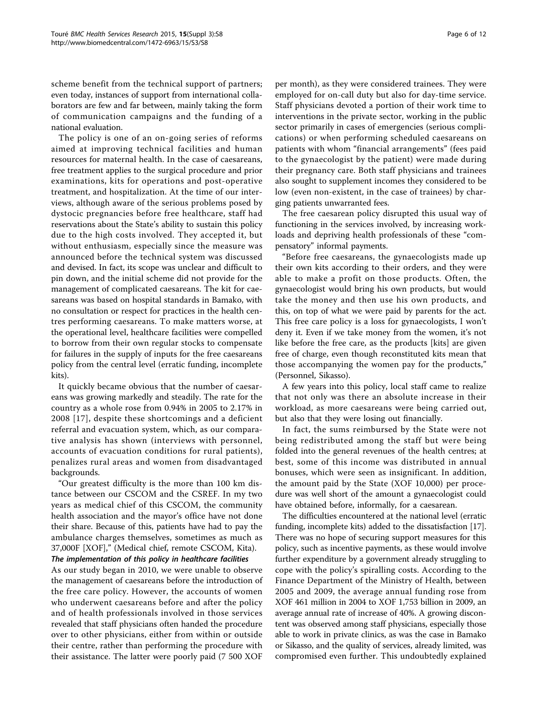scheme benefit from the technical support of partners; even today, instances of support from international collaborators are few and far between, mainly taking the form of communication campaigns and the funding of a national evaluation.

The policy is one of an on-going series of reforms aimed at improving technical facilities and human resources for maternal health. In the case of caesareans, free treatment applies to the surgical procedure and prior examinations, kits for operations and post-operative treatment, and hospitalization. At the time of our interviews, although aware of the serious problems posed by dystocic pregnancies before free healthcare, staff had reservations about the State's ability to sustain this policy due to the high costs involved. They accepted it, but without enthusiasm, especially since the measure was announced before the technical system was discussed and devised. In fact, its scope was unclear and difficult to pin down, and the initial scheme did not provide for the management of complicated caesareans. The kit for caesareans was based on hospital standards in Bamako, with no consultation or respect for practices in the health centres performing caesareans. To make matters worse, at the operational level, healthcare facilities were compelled to borrow from their own regular stocks to compensate for failures in the supply of inputs for the free caesareans policy from the central level (erratic funding, incomplete kits).

It quickly became obvious that the number of caesareans was growing markedly and steadily. The rate for the country as a whole rose from 0.94% in 2005 to 2.17% in 2008 [[17\]](#page-10-0), despite these shortcomings and a deficient referral and evacuation system, which, as our comparative analysis has shown (interviews with personnel, accounts of evacuation conditions for rural patients), penalizes rural areas and women from disadvantaged backgrounds.

"Our greatest difficulty is the more than 100 km distance between our CSCOM and the CSREF. In my two years as medical chief of this CSCOM, the community health association and the mayor's office have not done their share. Because of this, patients have had to pay the ambulance charges themselves, sometimes as much as 37,000F [XOF]," (Medical chief, remote CSCOM, Kita).

The implementation of this policy in healthcare facilities

As our study began in 2010, we were unable to observe the management of caesareans before the introduction of the free care policy. However, the accounts of women who underwent caesareans before and after the policy and of health professionals involved in those services revealed that staff physicians often handed the procedure over to other physicians, either from within or outside their centre, rather than performing the procedure with their assistance. The latter were poorly paid (7 500 XOF per month), as they were considered trainees. They were employed for on-call duty but also for day-time service. Staff physicians devoted a portion of their work time to interventions in the private sector, working in the public sector primarily in cases of emergencies (serious complications) or when performing scheduled caesareans on patients with whom "financial arrangements" (fees paid to the gynaecologist by the patient) were made during their pregnancy care. Both staff physicians and trainees also sought to supplement incomes they considered to be low (even non-existent, in the case of trainees) by charging patients unwarranted fees.

The free caesarean policy disrupted this usual way of functioning in the services involved, by increasing workloads and depriving health professionals of these "compensatory" informal payments.

"Before free caesareans, the gynaecologists made up their own kits according to their orders, and they were able to make a profit on those products. Often, the gynaecologist would bring his own products, but would take the money and then use his own products, and this, on top of what we were paid by parents for the act. This free care policy is a loss for gynaecologists, I won't deny it. Even if we take money from the women, it's not like before the free care, as the products [kits] are given free of charge, even though reconstituted kits mean that those accompanying the women pay for the products," (Personnel, Sikasso).

A few years into this policy, local staff came to realize that not only was there an absolute increase in their workload, as more caesareans were being carried out, but also that they were losing out financially.

In fact, the sums reimbursed by the State were not being redistributed among the staff but were being folded into the general revenues of the health centres; at best, some of this income was distributed in annual bonuses, which were seen as insignificant. In addition, the amount paid by the State (XOF 10,000) per procedure was well short of the amount a gynaecologist could have obtained before, informally, for a caesarean.

The difficulties encountered at the national level (erratic funding, incomplete kits) added to the dissatisfaction [[17](#page-10-0)]. There was no hope of securing support measures for this policy, such as incentive payments, as these would involve further expenditure by a government already struggling to cope with the policy's spiralling costs. According to the Finance Department of the Ministry of Health, between 2005 and 2009, the average annual funding rose from XOF 461 million in 2004 to XOF 1,753 billion in 2009, an average annual rate of increase of 40%. A growing discontent was observed among staff physicians, especially those able to work in private clinics, as was the case in Bamako or Sikasso, and the quality of services, already limited, was compromised even further. This undoubtedly explained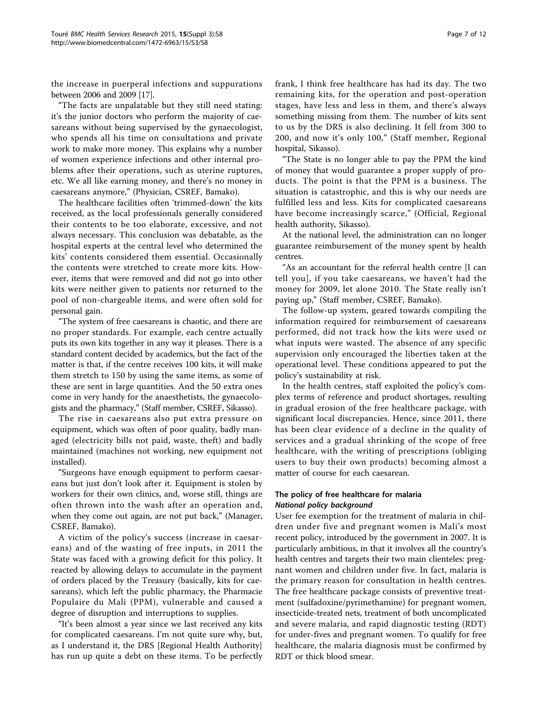the increase in puerperal infections and suppurations between 2006 and 2009 [\[17](#page-10-0)].

"The facts are unpalatable but they still need stating: it's the junior doctors who perform the majority of caesareans without being supervised by the gynaecologist, who spends all his time on consultations and private work to make more money. This explains why a number of women experience infections and other internal problems after their operations, such as uterine ruptures, etc. We all like earning money, and there's no money in caesareans anymore," (Physician, CSREF, Bamako).

The healthcare facilities often 'trimmed-down' the kits received, as the local professionals generally considered their contents to be too elaborate, excessive, and not always necessary. This conclusion was debatable, as the hospital experts at the central level who determined the kits' contents considered them essential. Occasionally the contents were stretched to create more kits. However, items that were removed and did not go into other kits were neither given to patients nor returned to the pool of non-chargeable items, and were often sold for personal gain.

"The system of free caesareans is chaotic, and there are no proper standards. For example, each centre actually puts its own kits together in any way it pleases. There is a standard content decided by academics, but the fact of the matter is that, if the centre receives 100 kits, it will make them stretch to 150 by using the same items, as some of these are sent in large quantities. And the 50 extra ones come in very handy for the anaesthetists, the gynaecologists and the pharmacy," (Staff member, CSREF, Sikasso).

The rise in caesareans also put extra pressure on equipment, which was often of poor quality, badly managed (electricity bills not paid, waste, theft) and badly maintained (machines not working, new equipment not installed).

"Surgeons have enough equipment to perform caesareans but just don't look after it. Equipment is stolen by workers for their own clinics, and, worse still, things are often thrown into the wash after an operation and, when they come out again, are not put back," (Manager, CSREF, Bamako).

A victim of the policy's success (increase in caesareans) and of the wasting of free inputs, in 2011 the State was faced with a growing deficit for this policy. It reacted by allowing delays to accumulate in the payment of orders placed by the Treasury (basically, kits for caesareans), which left the public pharmacy, the Pharmacie Populaire du Mali (PPM), vulnerable and caused a degree of disruption and interruptions to supplies.

"It's been almost a year since we last received any kits for complicated caesareans. I'm not quite sure why, but, as I understand it, the DRS [Regional Health Authority] has run up quite a debt on these items. To be perfectly frank, I think free healthcare has had its day. The two remaining kits, for the operation and post-operation stages, have less and less in them, and there's always something missing from them. The number of kits sent to us by the DRS is also declining. It fell from 300 to 200, and now it's only 100," (Staff member, Regional hospital, Sikasso).

"The State is no longer able to pay the PPM the kind of money that would guarantee a proper supply of products. The point is that the PPM is a business. The situation is catastrophic, and this is why our needs are fulfilled less and less. Kits for complicated caesareans have become increasingly scarce," (Official, Regional health authority, Sikasso).

At the national level, the administration can no longer guarantee reimbursement of the money spent by health centres.

"As an accountant for the referral health centre [I can tell you], if you take caesareans, we haven't had the money for 2009, let alone 2010. The State really isn't paying up," (Staff member, CSREF, Bamako).

The follow-up system, geared towards compiling the information required for reimbursement of caesareans performed, did not track how the kits were used or what inputs were wasted. The absence of any specific supervision only encouraged the liberties taken at the operational level. These conditions appeared to put the policy's sustainability at risk.

In the health centres, staff exploited the policy's complex terms of reference and product shortages, resulting in gradual erosion of the free healthcare package, with significant local discrepancies. Hence, since 2011, there has been clear evidence of a decline in the quality of services and a gradual shrinking of the scope of free healthcare, with the writing of prescriptions (obliging users to buy their own products) becoming almost a matter of course for each caesarean.

# The policy of free healthcare for malaria National policy background

User fee exemption for the treatment of malaria in children under five and pregnant women is Mali's most recent policy, introduced by the government in 2007. It is particularly ambitious, in that it involves all the country's health centres and targets their two main clienteles: pregnant women and children under five. In fact, malaria is the primary reason for consultation in health centres. The free healthcare package consists of preventive treatment (sulfadoxine/pyrimethamine) for pregnant women, insecticide-treated nets, treatment of both uncomplicated and severe malaria, and rapid diagnostic testing (RDT) for under-fives and pregnant women. To qualify for free healthcare, the malaria diagnosis must be confirmed by RDT or thick blood smear.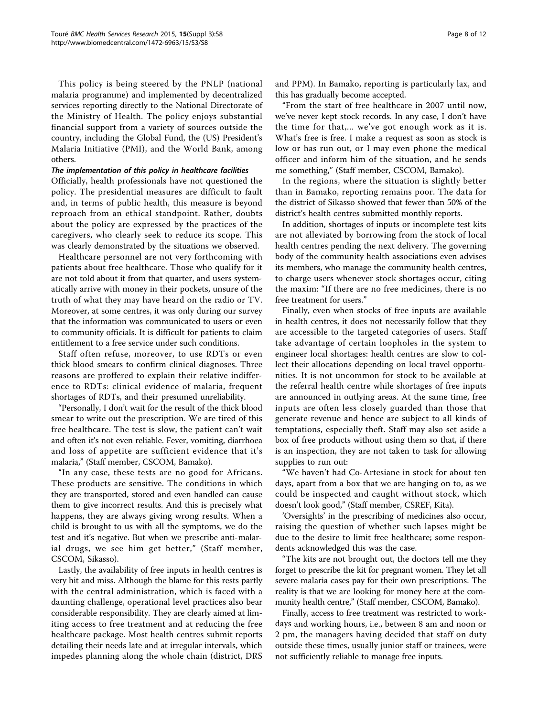This policy is being steered by the PNLP (national malaria programme) and implemented by decentralized services reporting directly to the National Directorate of the Ministry of Health. The policy enjoys substantial financial support from a variety of sources outside the country, including the Global Fund, the (US) President's Malaria Initiative (PMI), and the World Bank, among others.

#### The implementation of this policy in healthcare facilities

Officially, health professionals have not questioned the policy. The presidential measures are difficult to fault and, in terms of public health, this measure is beyond reproach from an ethical standpoint. Rather, doubts about the policy are expressed by the practices of the caregivers, who clearly seek to reduce its scope. This was clearly demonstrated by the situations we observed.

Healthcare personnel are not very forthcoming with patients about free healthcare. Those who qualify for it are not told about it from that quarter, and users systematically arrive with money in their pockets, unsure of the truth of what they may have heard on the radio or TV. Moreover, at some centres, it was only during our survey that the information was communicated to users or even to community officials. It is difficult for patients to claim entitlement to a free service under such conditions.

Staff often refuse, moreover, to use RDTs or even thick blood smears to confirm clinical diagnoses. Three reasons are proffered to explain their relative indifference to RDTs: clinical evidence of malaria, frequent shortages of RDTs, and their presumed unreliability.

"Personally, I don't wait for the result of the thick blood smear to write out the prescription. We are tired of this free healthcare. The test is slow, the patient can't wait and often it's not even reliable. Fever, vomiting, diarrhoea and loss of appetite are sufficient evidence that it's malaria," (Staff member, CSCOM, Bamako).

"In any case, these tests are no good for Africans. These products are sensitive. The conditions in which they are transported, stored and even handled can cause them to give incorrect results. And this is precisely what happens, they are always giving wrong results. When a child is brought to us with all the symptoms, we do the test and it's negative. But when we prescribe anti-malarial drugs, we see him get better," (Staff member, CSCOM, Sikasso).

Lastly, the availability of free inputs in health centres is very hit and miss. Although the blame for this rests partly with the central administration, which is faced with a daunting challenge, operational level practices also bear considerable responsibility. They are clearly aimed at limiting access to free treatment and at reducing the free healthcare package. Most health centres submit reports detailing their needs late and at irregular intervals, which impedes planning along the whole chain (district, DRS and PPM). In Bamako, reporting is particularly lax, and this has gradually become accepted.

"From the start of free healthcare in 2007 until now, we've never kept stock records. In any case, I don't have the time for that,... we've got enough work as it is. What's free is free. I make a request as soon as stock is low or has run out, or I may even phone the medical officer and inform him of the situation, and he sends me something," (Staff member, CSCOM, Bamako).

In the regions, where the situation is slightly better than in Bamako, reporting remains poor. The data for the district of Sikasso showed that fewer than 50% of the district's health centres submitted monthly reports.

In addition, shortages of inputs or incomplete test kits are not alleviated by borrowing from the stock of local health centres pending the next delivery. The governing body of the community health associations even advises its members, who manage the community health centres, to charge users whenever stock shortages occur, citing the maxim: "If there are no free medicines, there is no free treatment for users."

Finally, even when stocks of free inputs are available in health centres, it does not necessarily follow that they are accessible to the targeted categories of users. Staff take advantage of certain loopholes in the system to engineer local shortages: health centres are slow to collect their allocations depending on local travel opportunities. It is not uncommon for stock to be available at the referral health centre while shortages of free inputs are announced in outlying areas. At the same time, free inputs are often less closely guarded than those that generate revenue and hence are subject to all kinds of temptations, especially theft. Staff may also set aside a box of free products without using them so that, if there is an inspection, they are not taken to task for allowing supplies to run out:

"We haven't had Co-Artesiane in stock for about ten days, apart from a box that we are hanging on to, as we could be inspected and caught without stock, which doesn't look good," (Staff member, CSREF, Kita).

'Oversights' in the prescribing of medicines also occur, raising the question of whether such lapses might be due to the desire to limit free healthcare; some respondents acknowledged this was the case.

"The kits are not brought out, the doctors tell me they forget to prescribe the kit for pregnant women. They let all severe malaria cases pay for their own prescriptions. The reality is that we are looking for money here at the community health centre," (Staff member, CSCOM, Bamako).

Finally, access to free treatment was restricted to workdays and working hours, i.e., between 8 am and noon or 2 pm, the managers having decided that staff on duty outside these times, usually junior staff or trainees, were not sufficiently reliable to manage free inputs.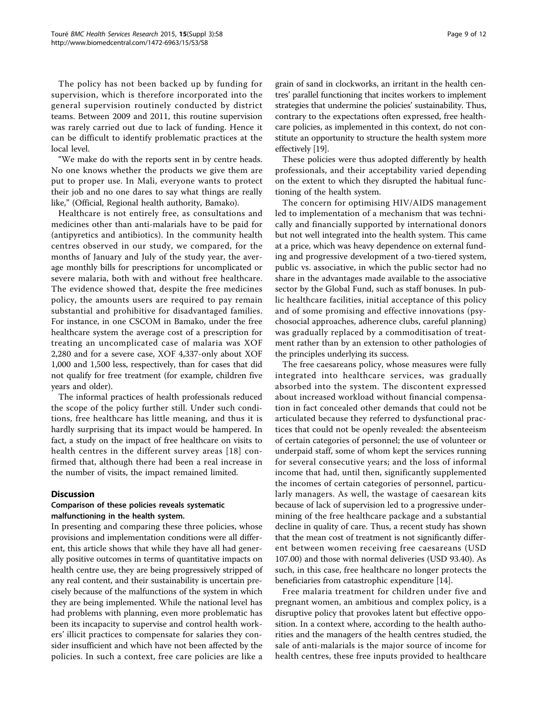The policy has not been backed up by funding for supervision, which is therefore incorporated into the general supervision routinely conducted by district teams. Between 2009 and 2011, this routine supervision was rarely carried out due to lack of funding. Hence it can be difficult to identify problematic practices at the local level.

"We make do with the reports sent in by centre heads. No one knows whether the products we give them are put to proper use. In Mali, everyone wants to protect their job and no one dares to say what things are really like," (Official, Regional health authority, Bamako).

Healthcare is not entirely free, as consultations and medicines other than anti-malarials have to be paid for (antipyretics and antibiotics). In the community health centres observed in our study, we compared, for the months of January and July of the study year, the average monthly bills for prescriptions for uncomplicated or severe malaria, both with and without free healthcare. The evidence showed that, despite the free medicines policy, the amounts users are required to pay remain substantial and prohibitive for disadvantaged families. For instance, in one CSCOM in Bamako, under the free healthcare system the average cost of a prescription for treating an uncomplicated case of malaria was XOF 2,280 and for a severe case, XOF 4,337-only about XOF 1,000 and 1,500 less, respectively, than for cases that did not qualify for free treatment (for example, children five years and older).

The informal practices of health professionals reduced the scope of the policy further still. Under such conditions, free healthcare has little meaning, and thus it is hardly surprising that its impact would be hampered. In fact, a study on the impact of free healthcare on visits to health centres in the different survey areas [[18](#page-10-0)] confirmed that, although there had been a real increase in the number of visits, the impact remained limited.

#### **Discussion**

## Comparison of these policies reveals systematic malfunctioning in the health system.

In presenting and comparing these three policies, whose provisions and implementation conditions were all different, this article shows that while they have all had generally positive outcomes in terms of quantitative impacts on health centre use, they are being progressively stripped of any real content, and their sustainability is uncertain precisely because of the malfunctions of the system in which they are being implemented. While the national level has had problems with planning, even more problematic has been its incapacity to supervise and control health workers' illicit practices to compensate for salaries they consider insufficient and which have not been affected by the policies. In such a context, free care policies are like a

grain of sand in clockworks, an irritant in the health centres' parallel functioning that incites workers to implement strategies that undermine the policies' sustainability. Thus, contrary to the expectations often expressed, free healthcare policies, as implemented in this context, do not constitute an opportunity to structure the health system more effectively [[19](#page-10-0)].

These policies were thus adopted differently by health professionals, and their acceptability varied depending on the extent to which they disrupted the habitual functioning of the health system.

The concern for optimising HIV/AIDS management led to implementation of a mechanism that was technically and financially supported by international donors but not well integrated into the health system. This came at a price, which was heavy dependence on external funding and progressive development of a two-tiered system, public vs. associative, in which the public sector had no share in the advantages made available to the associative sector by the Global Fund, such as staff bonuses. In public healthcare facilities, initial acceptance of this policy and of some promising and effective innovations (psychosocial approaches, adherence clubs, careful planning) was gradually replaced by a commoditisation of treatment rather than by an extension to other pathologies of the principles underlying its success.

The free caesareans policy, whose measures were fully integrated into healthcare services, was gradually absorbed into the system. The discontent expressed about increased workload without financial compensation in fact concealed other demands that could not be articulated because they referred to dysfunctional practices that could not be openly revealed: the absenteeism of certain categories of personnel; the use of volunteer or underpaid staff, some of whom kept the services running for several consecutive years; and the loss of informal income that had, until then, significantly supplemented the incomes of certain categories of personnel, particularly managers. As well, the wastage of caesarean kits because of lack of supervision led to a progressive undermining of the free healthcare package and a substantial decline in quality of care. Thus, a recent study has shown that the mean cost of treatment is not significantly different between women receiving free caesareans (USD 107.00) and those with normal deliveries (USD 93.40). As such, in this case, free healthcare no longer protects the beneficiaries from catastrophic expenditure [\[14](#page-10-0)].

Free malaria treatment for children under five and pregnant women, an ambitious and complex policy, is a disruptive policy that provokes latent but effective opposition. In a context where, according to the health authorities and the managers of the health centres studied, the sale of anti-malarials is the major source of income for health centres, these free inputs provided to healthcare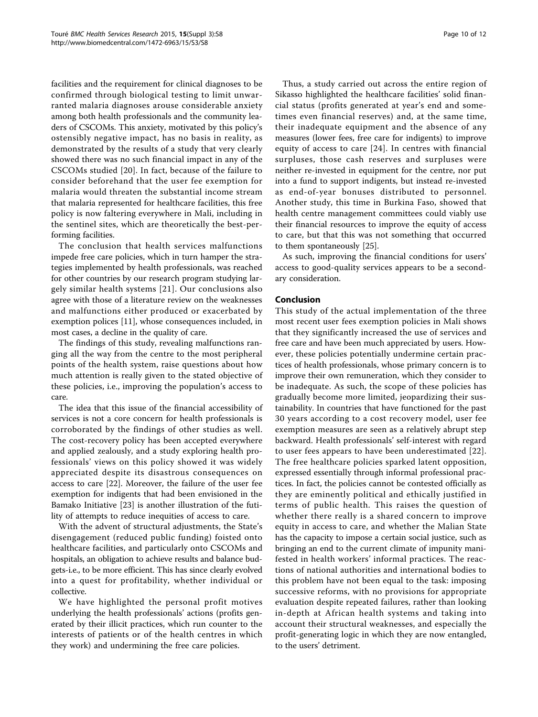facilities and the requirement for clinical diagnoses to be confirmed through biological testing to limit unwarranted malaria diagnoses arouse considerable anxiety among both health professionals and the community leaders of CSCOMs. This anxiety, motivated by this policy's ostensibly negative impact, has no basis in reality, as demonstrated by the results of a study that very clearly showed there was no such financial impact in any of the CSCOMs studied [[20\]](#page-10-0). In fact, because of the failure to consider beforehand that the user fee exemption for malaria would threaten the substantial income stream that malaria represented for healthcare facilities, this free policy is now faltering everywhere in Mali, including in the sentinel sites, which are theoretically the best-performing facilities.

The conclusion that health services malfunctions impede free care policies, which in turn hamper the strategies implemented by health professionals, was reached for other countries by our research program studying largely similar health systems [[21](#page-11-0)]. Our conclusions also agree with those of a literature review on the weaknesses and malfunctions either produced or exacerbated by exemption polices [[11\]](#page-10-0), whose consequences included, in most cases, a decline in the quality of care.

The findings of this study, revealing malfunctions ranging all the way from the centre to the most peripheral points of the health system, raise questions about how much attention is really given to the stated objective of these policies, i.e., improving the population's access to care.

The idea that this issue of the financial accessibility of services is not a core concern for health professionals is corroborated by the findings of other studies as well. The cost-recovery policy has been accepted everywhere and applied zealously, and a study exploring health professionals' views on this policy showed it was widely appreciated despite its disastrous consequences on access to care [[22](#page-11-0)]. Moreover, the failure of the user fee exemption for indigents that had been envisioned in the Bamako Initiative [[23\]](#page-11-0) is another illustration of the futility of attempts to reduce inequities of access to care.

With the advent of structural adjustments, the State's disengagement (reduced public funding) foisted onto healthcare facilities, and particularly onto CSCOMs and hospitals, an obligation to achieve results and balance budgets-i.e., to be more efficient. This has since clearly evolved into a quest for profitability, whether individual or collective.

We have highlighted the personal profit motives underlying the health professionals' actions (profits generated by their illicit practices, which run counter to the interests of patients or of the health centres in which they work) and undermining the free care policies.

Thus, a study carried out across the entire region of Sikasso highlighted the healthcare facilities' solid financial status (profits generated at year's end and sometimes even financial reserves) and, at the same time, their inadequate equipment and the absence of any measures (lower fees, free care for indigents) to improve equity of access to care [\[24\]](#page-11-0). In centres with financial surpluses, those cash reserves and surpluses were neither re-invested in equipment for the centre, nor put into a fund to support indigents, but instead re-invested as end-of-year bonuses distributed to personnel. Another study, this time in Burkina Faso, showed that health centre management committees could viably use their financial resources to improve the equity of access to care, but that this was not something that occurred to them spontaneously [[25](#page-11-0)].

As such, improving the financial conditions for users' access to good-quality services appears to be a secondary consideration.

# Conclusion

This study of the actual implementation of the three most recent user fees exemption policies in Mali shows that they significantly increased the use of services and free care and have been much appreciated by users. However, these policies potentially undermine certain practices of health professionals, whose primary concern is to improve their own remuneration, which they consider to be inadequate. As such, the scope of these policies has gradually become more limited, jeopardizing their sustainability. In countries that have functioned for the past 30 years according to a cost recovery model, user fee exemption measures are seen as a relatively abrupt step backward. Health professionals' self-interest with regard to user fees appears to have been underestimated [[22](#page-11-0)]. The free healthcare policies sparked latent opposition, expressed essentially through informal professional practices. In fact, the policies cannot be contested officially as they are eminently political and ethically justified in terms of public health. This raises the question of whether there really is a shared concern to improve equity in access to care, and whether the Malian State has the capacity to impose a certain social justice, such as bringing an end to the current climate of impunity manifested in health workers' informal practices. The reactions of national authorities and international bodies to this problem have not been equal to the task: imposing successive reforms, with no provisions for appropriate evaluation despite repeated failures, rather than looking in-depth at African health systems and taking into account their structural weaknesses, and especially the profit-generating logic in which they are now entangled, to the users' detriment.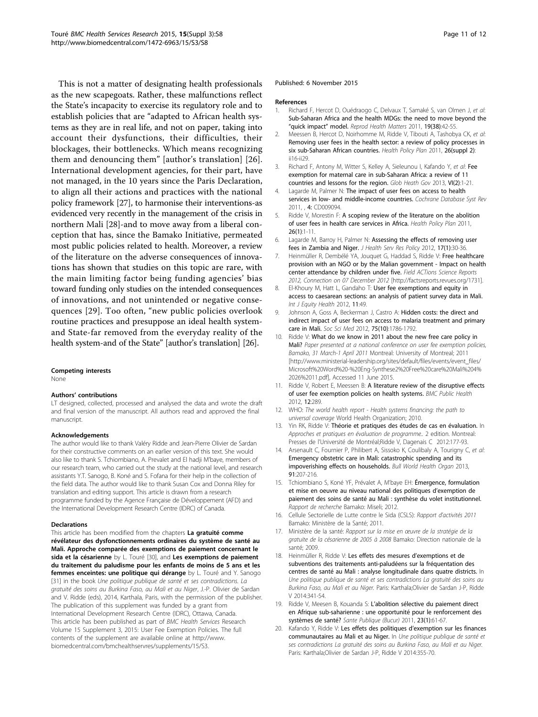<span id="page-10-0"></span>This is not a matter of designating health professionals as the new scapegoats. Rather, these malfunctions reflect the State's incapacity to exercise its regulatory role and to establish policies that are "adapted to African health systems as they are in real life, and not on paper, taking into account their dysfunctions, their difficulties, their blockages, their bottlenecks. Which means recognizing them and denouncing them" [author's translation] [[26](#page-11-0)]. International development agencies, for their part, have not managed, in the 10 years since the Paris Declaration, to align all their actions and practices with the national policy framework [\[27\]](#page-11-0), to harmonise their interventions-as evidenced very recently in the management of the crisis in northern Mali [\[28](#page-11-0)]-and to move away from a liberal conception that has, since the Bamako Initiative, permeated most public policies related to health. Moreover, a review of the literature on the adverse consequences of innovations has shown that studies on this topic are rare, with the main limiting factor being funding agencies' bias toward funding only studies on the intended consequences of innovations, and not unintended or negative consequences [[29\]](#page-11-0). Too often, "new public policies overlook routine practices and presuppose an ideal health systemand State-far removed from the everyday reality of the health system-and of the State" [author's translation] [[26](#page-11-0)].

#### Competing interests

None

#### Authors' contributions

LT designed, collected, processed and analysed the data and wrote the draft and final version of the manuscript. All authors read and approved the final manuscript.

#### Acknowledgements

The author would like to thank Valéry Ridde and Jean-Pierre Olivier de Sardan for their constructive comments on an earlier version of this text. She would also like to thank S. Tchiombiano, A. Prevalet and El hadji M'baye, members of our research team, who carried out the study at the national level, and research assistants Y.T. Sanogo, B. Koné and S. Fofana for their help in the collection of the field data. The author would like to thank Susan Cox and Donna Riley for translation and editing support. This article is drawn from a research programme funded by the Agence Française de Développement (AFD) and the International Development Research Centre (IDRC) of Canada.

#### Declarations

This article has been modified from the chapters La gratuité comme révélateur des dysfonctionnements ordinaires du système de santé au Mali. Approche comparée des exemptions de paiement concernant le sida et la césarienne by L. Touré [[30\]](#page-11-0), and Les exemptions de paiement du traitement du paludisme pour les enfants de moins de 5 ans et les femmes enceintes: une politique qui dérange by L. Touré and Y. Sanogo [[31\]](#page-11-0) in the book Une politique publique de santé et ses contradictions. La gratuité des soins au Burkina Faso, au Mali et au Niger, J.-P. Olivier de Sardan and V. Ridde (eds), 2014, Karthala, Paris, with the permission of the publisher. The publication of this supplement was funded by a grant from International Development Research Centre (IDRC), Ottawa, Canada. This article has been published as part of BMC Health Services Research Volume 15 Supplement 3, 2015: User Fee Exemption Policies. The full contents of the supplement are available online at [http://www.](http://www.biomedcentral.com/bmchealthservres/supplements/15/S3) [biomedcentral.com/bmchealthservres/supplements/15/S3](http://www.biomedcentral.com/bmchealthservres/supplements/15/S3).

#### Published: 6 November 2015

#### References

- 1. Richard F, Hercot D, Ouédraogo C, Delvaux T, Samaké S, van Olmen J, et al: Sub-Saharan Africa and the health MDGs: the need to move beyond the "quick impact" model. Reprod Health Matters 2011, 19(38):42-55.
- 2. Meessen B, Hercot D, Noirhomme M, Ridde V, Tibouti A, Tashobya CK, et al: Removing user fees in the health sector: a review of policy processes in six sub-Saharan African countries. Health Policy Plan 2011, 26(suppl 2): ii16-ii29.
- 3. Richard F, Antony M, Witter S, Kelley A, Sieleunou I, Kafando Y, et al: Fee exemption for maternal care in sub-Saharan Africa: a review of 11 countries and lessons for the region. Glob Heath Gov 2013, VI(2):1-21.
- 4. Lagarde M, Palmer N: The impact of user fees on access to health services in low- and middle-income countries. Cochrane Database Syst Rev 2011. . 4: CD009094
- Ridde V, Morestin F: A scoping review of the literature on the abolition of user fees in health care services in Africa. Health Policy Plan 2011, 26(1):1-11.
- 6. Lagarde M, Barroy H, Palmer N: Assessing the effects of removing user fees in Zambia and Niger. J Health Serv Res Policy 2012, 17(1):30-36.
- 7. Heinmüller R, Dembélé YA, Jouquet G, Haddad S, Ridde V: Free healthcare provision with an NGO or by the Malian government - Impact on health center attendance by children under five. Field ACTions Science Reports 2012, Connection on 07 December 2012 [\[http://factsreports.revues.org/1731](http://factsreports.revues.org/1731)].
- 8. El-Khoury M, Hatt L, Gandaho T: User fee exemptions and equity in access to caesarean sections: an analysis of patient survey data in Mali. Int J Equity Health 2012, 11:49.
- 9. Johnson A, Goss A, Beckerman J, Castro A: Hidden costs: the direct and indirect impact of user fees on access to malaria treatment and primary care in Mali. Soc Sci Med 2012, 75(10):1786-1792.
- 10. Ridde V: What do we know in 2011 about the new free care policy in Mali? Paper presented at a national conference on user fee exemption policies, Bamako, 31 March-1 April 2011 Montreal: University of Montreal; 2011 [[http://www.ministerial-leadership.org/sites/default/files/events/event\\_files/](http://www.ministerial-leadership.org/sites/default/files/events/event_files/Microsoft%20Word%20-%20Eng-Synthese2%20Free%20care%20Mali%204%2026%2011.pdf) [Microsoft%20Word%20-%20Eng-Synthese2%20Free%20care%20Mali%204%](http://www.ministerial-leadership.org/sites/default/files/events/event_files/Microsoft%20Word%20-%20Eng-Synthese2%20Free%20care%20Mali%204%2026%2011.pdf) [2026%2011.pdf\]](http://www.ministerial-leadership.org/sites/default/files/events/event_files/Microsoft%20Word%20-%20Eng-Synthese2%20Free%20care%20Mali%204%2026%2011.pdf), Accessed 11 June 2015.
- 11. Ridde V, Robert E, Meessen B: A literature review of the disruptive effects of user fee exemption policies on health systems. BMC Public Health 2012, 12:289.
- 12. WHO: The world health report Health systems financing: the path to universal coverage World Health Organization; 2010.
- 13. Yin RK, Ridde V: Théorie et pratiques des études de cas en évaluation. In Approches et pratiques en évaluation de programme.. 2 edition. Montreal: Presses de l'Université de Montréal;Ridde V, Dagenais C 2012:177-93.
- 14. Arsenault C, Fournier P, Philibert A, Sissoko K, Coulibaly A, Tourigny C, et al: Emergency obstetric care in Mali: catastrophic spending and its impoverishing effects on households. Bull World Health Organ 2013, 91:207-216.
- 15. Tchiombiano S, Koné YF, Prévalet A, M'baye EH: Émergence, formulation et mise en oeuvre au niveau national des politiques d'exemption de paiement des soins de santé au Mali : synthèse du volet institutionnel. Rapport de recherche Bamako: Miseli; 2012.
- 16. Cellule Sectorielle de Lutte contre le Sida (CSLS): Rapport d'activités 2011 Bamako: Ministère de la Santé; 2011.
- 17. Ministère de la santé: Rapport sur la mise en œuvre de la stratégie de la gratuite de la césarienne de 2005 à 2008 Bamako: Direction nationale de la santé; 2009.
- 18. Heinmüller R, Ridde V: Les effets des mesures d'exemptions et de subventions des traitements anti-paludéens sur la fréquentation des centres de santé au Mali : analyse longitudinale dans quatre districts. In Une politique publique de santé et ses contradictions La gratuité des soins au Burkina Faso, au Mali et au Niger. Paris: Karthala;Olivier de Sardan J-P, Ridde V 2014:341-54.
- 19. Ridde V, Meesen B, Kouanda S: L'abolition sélective du paiement direct en Afrique sub-saharienne : une opportunité pour le renforcement des systèmes de santé? Sante Publique (Bucur) 2011, 23(1):61-67.
- 20. Kafando Y, Ridde V: Les effets des politiques d'exemption sur les finances communautaires au Mali et au Niger. In Une politique publique de santé et ses contradictions La gratuité des soins au Burkina Faso, au Mali et au Niger. Paris: Karthala;Olivier de Sardan J-P, Ridde V 2014:355-70.